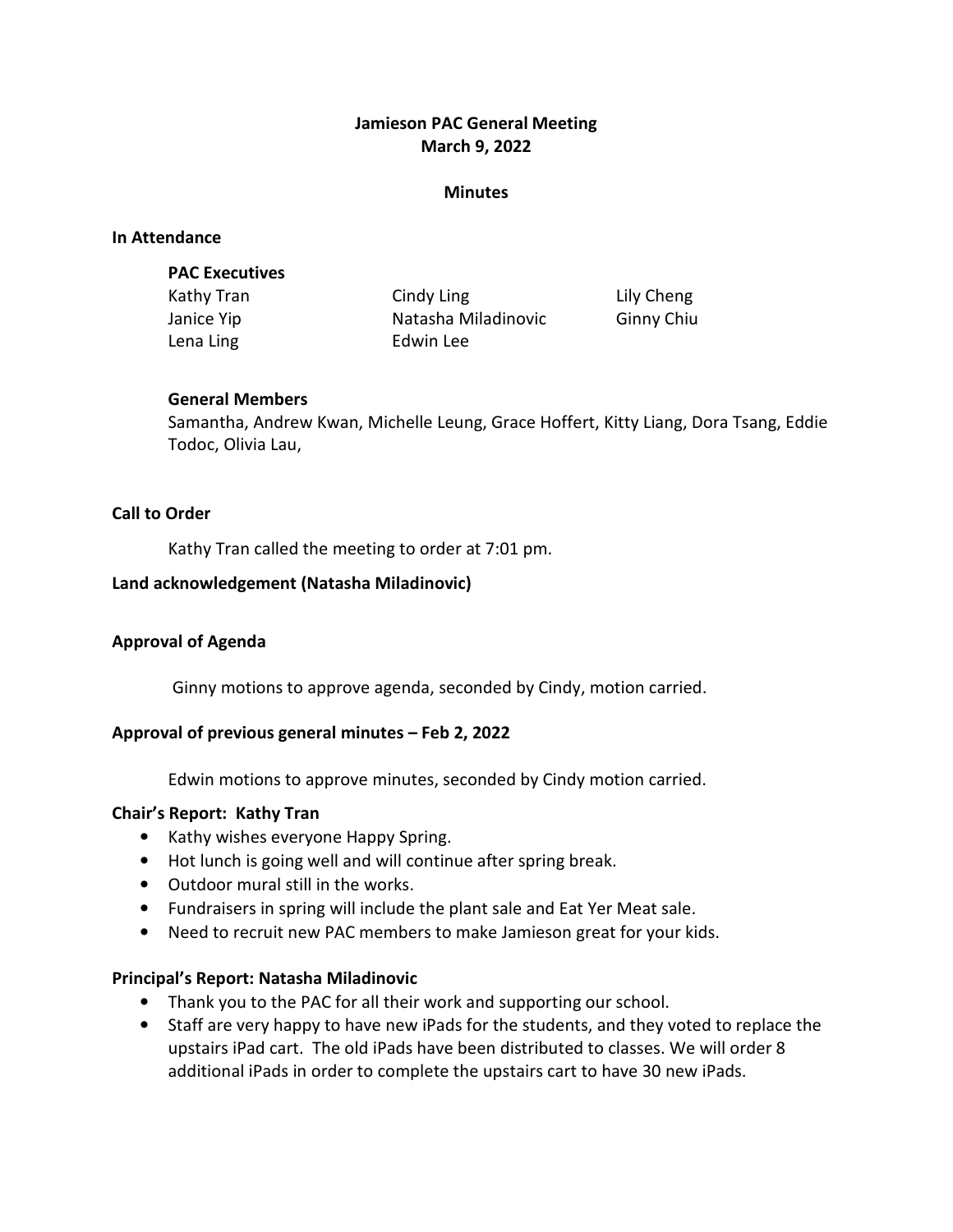## Jamieson PAC General Meeting March 9, 2022

#### **Minutes**

#### In Attendance

#### PAC Executives

Kathy Tran **Cindy Ling Communist Communist Communist** Lily Cheng Janice Yip **Natasha Miladinovic** Ginny Chiu Lena Ling **Edwin** Lee

## General Members

Samantha, Andrew Kwan, Michelle Leung, Grace Hoffert, Kitty Liang, Dora Tsang, Eddie Todoc, Olivia Lau,

## Call to Order

Kathy Tran called the meeting to order at 7:01 pm.

## Land acknowledgement (Natasha Miladinovic)

## Approval of Agenda

Ginny motions to approve agenda, seconded by Cindy, motion carried.

## Approval of previous general minutes – Feb 2, 2022

Edwin motions to approve minutes, seconded by Cindy motion carried.

#### Chair's Report: Kathy Tran

- Kathy wishes everyone Happy Spring.
- Hot lunch is going well and will continue after spring break.
- Outdoor mural still in the works.
- Fundraisers in spring will include the plant sale and Eat Yer Meat sale.
- Need to recruit new PAC members to make Jamieson great for your kids.

#### Principal's Report: Natasha Miladinovic

- Thank you to the PAC for all their work and supporting our school.
- Staff are very happy to have new iPads for the students, and they voted to replace the upstairs iPad cart. The old iPads have been distributed to classes. We will order 8 additional iPads in order to complete the upstairs cart to have 30 new iPads.